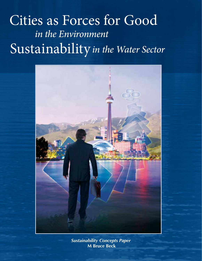# Cities as Forces for Good *in the Environment* Sustainability*in the Water Sector*



*Sustainability Concepts Paper*  **M Bruce Beck**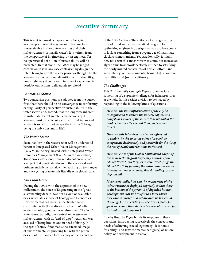### Executive Summary

This is as it is named: a paper about *Concepts* — concepts of what it may mean to become less unsustainable in the context of cities and their infrastructures (primarily water). It is written from the perspective of Engineering, by an engineer. Yet no operational definition of sustainability will be presented. In that alone, the *Paper* may be judged contrarian. It is in any case contrarian by design, the intent being to give the reader pause for thought. In the absence of an operational definition of sustainability, how might we yet go forward in spite of vagueness, in deed, by our actions, deliberately *to* spite it?

### *Contrarian Stance*

Two contrarian positions are adopted from the outset: first, that there should be no convergence to conformity or singularity of perspective on sustainability in the water sector; and, second, that the long view inherent to sustainability, yet so often conspicuous by its absence, must be center-stage in our thinking — and when it is so, we cannot escape the truth of "change being the only constant in life".

### *The Water Sector*

Sustainability in the water sector will be understood herein as Integrated Urban Water Management (IUWM; in the city) nested within Integrated Water Resources Management (IWRM; in the watershed). These two scales alone, however, do not encapsulate a subject that penetrates down to the very local and quintessentially personal, while reaching up to changes and the cycling of materials literally on a global scale.

### *Fall From Grace*

During the 1990s, with the approach of the new millennium, the voice of Engineering in the "great sustainability debate" was not as loud or as audible or as articulate as those of Ecology and Economics. Environmental engineers, in particular, were confronted with the realization of their *not* selfevidently doing good by the environment. The "old" water-based paradigm of centralized wastewater infrastructure, with its "end-of-pipe" treatment, was accused of being broken and in need of fixing. In the eyes of some, if not many, the esteemed image of environmental engineering fell with the general descent of the modern technocracy of the second half of the 20th Century. The epitome of an engineering turn of mind — the mathematical program for optimizing engineering designs — may too have come to look as something from a bygone age of inanimate clockwork mechanisms. Yet paradoxically, it might now not seem this anachronism to some, but instead an algorithmic framework perfectly attuned to satisfying the newly minted constraints of Triple Bottom Line accountancy: of {environmental benignity}, {economic feasibility}, and {social legitimacy}.

### *The Challenges*

This *Sustainability Concepts Paper* argues we face something of a supreme challenge, for infrastructures as a whole. In this resides a vision to be shaped by responding to the following kinds of questions:

*How can the built infrastructure of the city be re-engineered to restore the natural capital and ecosystem services of the nature that inhabited the land before the city arrived there, in "geological time"?*

*How can this infrastructure be re-engineered to enable the city to act as a force for good, to compensate deliberately and positively for the ills of the rest of Man's interventions in Nature?*

*How can cities of the Global South avoid adopting the same technological trajectory as those of the Global North? Can they, as it were, "leap-frog" the Global North by forgoing the entire human-wasteinto-the-water-cycle phase, thereby ending up one step ahead?*

*More profoundly, how can the engineering of city infrastructure be deployed expressly so that those at the bottom of the pyramid of dignified human development may be brought to a level where they care to engage in a debate over such a grand challenge for this century — of cities as forces for good — beyond their desperate needs of survival for just today and tomorrow?*

Line by line, the *Paper* builds its response to these questions, introducing successively the concepts and needs of achieving {social legitimacy}, {economic feasibility}, and {environmental benignity} of action, policy, or development initiative.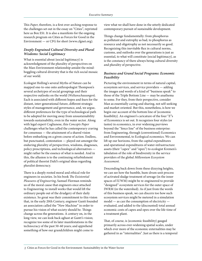This *Paper*, therefore, is a first over-arching response to the challenges set out in the essay on "Cities", reprinted here as Box ES1. It is also a manifesto for the ongoing research program on Cities as Forces for Good in the Environment — or CFG for short (www.cfgnet.org).

### *Deeply Engrained Cultural Diversity and Plural Wisdoms: Social Legitimacy*

What is essential about {social legitimacy} is acknowledgment of the plurality of perspectives on the Man-Environment relationship amidst the mindboggling cultural diversity that is the rich social mosaic of our world.

Ecologist Holling's several Myths of Nature can be mapped one-to-one onto anthropologist Thompson's several archetypes of social groupings and their respective outlooks on the world (*Weltanschauungen*). Each is associated with different hopes and fears for the distant, inter-generational future, different strategic styles of management and governance, and, we argue, different preferences for the type of technological path to be adopted for moving away from unsustainability towards sustainability, even in the water sector. Along with legal expert Coglianese, this *Concepts Paper* challenges what he has called the contemporary craving for consensus — the attainment of a shared vision before embarking on a given course of action. Endless, but punctuated, contestation — played out amongst the enduring plurality of perspectives, wisdoms, diagnoses, policy prescriptions, and technological alternatives might rather be the essence of what is needed. And in this, the allusion is to the continuing refurbishment of political theorist Dahl's original ideas regarding pluralist democracy.

There is a deeply rooted moral and ethical role for engineers in societies. In his book *The Existential Pleasures of Engineering*, Samuel Florman reminds us of the moral cause that engineers once attached to Engineering: to install works that would lift the ordinary people out of the drudgery of their daily existence. So great was their commitment to this vision that, in the early 20th Century, engineer Gantt founded an association called the "New Machine" in order to pursue his vision of what society should be. Things change across the generations. A century on, in the long view, we can look back aghast at Gantt's vision; recognize too some of its later manifestations in the technocracy of the past 50-60 years; and apprehend something of how our grandchildren might come to

view what we shall have done in the utterly dedicated contemporary pursuit of sustainable development.

Things change fundamentally: from phosphorus as pollutant and eutrophy as bad, to phosphorus as resource and oligotrophy as not necessarily so good. Recognizing this inevitable flux in cultural norms, customs, and outlooks over the generations is just as essential, to what will constitute {social legitimacy}, as is the constancy of there always being cultural diversity and plurality of perspective.

### *Business and Grand Social Programs: Economic Feasibility*

Picturing the environment in terms of natural capital, ecosystem services, and service providers — adding the images and words of a kind of "business speak" to those of the Triple Bottom Line — may be anathema to some. For they, from their perspective, consider Man as essentially caring and sharing, not self-seeking and market-oriented. But this, nonetheless, is how we begin our account of the bottom line of {economic feasibility}. An engineer's caricature of the four "*E*"s of Economics is set out. It recognizes four styles (or tastes) in economics, in ever widening purviews beyond the "fence line" of the business enterprise: from Engineering, through (conventional) Economics and Environmental, to Ecological economics. We can lift up our horizons, from the capital expenditures and operational expenditures of water-infrastructure assets (their "capex" and "opex") to ecologist Kremen's tabulation of the role of biodiversity in the service providers of the global *Millennium Ecosystem Assessment*.

Descending back down from these dizzying heights, we can see how the humble, hum-drum unit process of activated sludge treatment of sewage (in the inner spaces of IUWM) might be re-engineered to provide "designed" ecosystem services for the outer space of IWRM (in the watershed). As if just from the words of this business speak, we can discern too how such ecosystem services might be metered in a simulation model — as can the consumption of electricity evaluated, and added to the (discounted) total annual economic costs of capex and opex over the life-time of a treatment plant.

That, of course, is {economic feasibility} gauged primarily across ever-widening spatial scales, under which ever more of the economic externalities may be gathered in as "internalities". Just as there is a temporal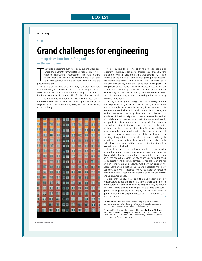### **Box ES1**

work in progress

**CITIES**

## **Grand challenges for engineering**

**Turning cities into forces for good in the environment**

he world is<br>Cities are<br>with no e<br>shops. Ma<br>it is—will<br>popular mind-set. he world is becoming ever more populous and urbanized. Cities are inherently unmitigated environmental "evils"; with no extenuating circumstances; like bulls in china shops. Man's burden on the environment—woe, that it is—will continue to be piled upon woe. So runs the

Yet things do not have to be this way, no matter how hard it may be today to conceive of cities as forces for good in the environment. Far from infrastructures having to take on the burden of compensating for the ills of cities, the two should "act" deliberately to contribute positively to enhancement of the environment around them. That is our grand challenge for engineering; and this is how we might begin to think of responding to the challenge.



In introducing their concept of the "urban ecological footprint"—massive, of course, for cities such as Paris, New York, and so on—William Rees and Mathis Wackernagel invite us to conceive of the city as a "large animal grazing in its pasture." We imagine that animal to be a bull. The "bull" of intense social and economic activity in the city is to be shod, we suggest, with the "padded athletic trainers" of re-engineered infrastructures and imbued with a technological deftness and intelligence sufficient for restoring the business of running the environmental "china shop" in which it charges about—indeed, profitably expanding the shop's operations.

The city, continuing the large grazing animal analogy, takes in its daily grass and daily water, while we, for readily understandable but increasingly unsustainable reasons, have engineered the return of the residuals of this metabolism to the air, water, and land environments surrounding the city. In the Global North, a good deal of the city's daily water is used to remove the residuals of its daily grass as wastewater so that citizens can lead healthy and productive lives. And much technological effort has been invested in treating that wastewater, not always to the better of the air, missing an opportunity to benefit the land, while not being a wholly unmitigated good for the water environment. In short, wastewater treatment in the Global North can end up shunting nitrogen into the atmosphere, to avoid fertilizing the aquatic environment, while we labor awfully energetically with the Haber-Bosch process to pull that nitrogen out of the atmosphere to produce industrial fertilizer.

How, then, can the built infrastructure be re-engineered to restore the natural capital and ecosystem services of the nature that inhabited the land before the city arrived there; how can it be re-engineered to enable the city to act as a force for good, to deliberately and positively compensate for the ills of the rest of man's interventions in nature? And how can cities of the Global South avoid adopting the same technological trajectory? Can they, as it were, "leapfrog" the Global North by foregoing the entire human-waste-into-the-water-cycle phase, and thereby end up one step ahead?

More profoundly, how can the engineering of city infrastructure be deployed expressly so that those at the bottom of the pyramid of dignified human development may be brought to a level where they care to engage in a debate over such a grand challenge for the next century—of cities as forces for good—beyond their desperate needs of survival for just today and tomorrow?

**Further information** This essay is part of a project by the US National Academy of Engineering to determine the Grand Challenges for Engineering during the next 100 years: www.engineeringchallenges.org

**Professor Paul Crutzen** (Nobel Prize for Chemistry), **Professor M. Bruce Beck**, and **Dr. Michael Thompson** are all Institute Scholars at IIASA. They also research at the Max Planck Institute for Chemistry, University of Georgia, and University of Oxford, respectively.

#### **8** options ■ winter 2007 www.iiasa.ac.at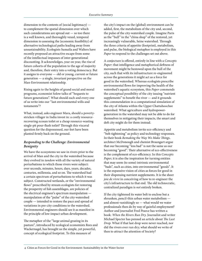dimension to the contents of {social legitimacy}  $$ to complement the spatial dimension over which such considerations are spread out — so too there is a well known, and thoroughly vexed, temporal dimension to assessing the {economic feasibility} of alternative technological paths leading away from unsustainability. Ecologists Sumaila and Walters have recently proposed an attractive escape from some of the intellectual impasses of inter-generational discounting. It acknowledges, year on year, the rise of future cohorts of the population to the age of majority and, therefore, their entry into a voting democracy. But it assigns to everyone — old or young, current or future generation — a single, invariant perspective on the Man-Environment relationship.

Rising again to the heights of grand social and moral programs, economist Solow talks of "bequests to future generations". What should each and every one of us write into our "last environmental wills and testaments"?

What, instead, asks engineer Mara, should a povertystricken villager in India invest in: a costly resourcerecovering ecosan toilet or a cheap resource-wasting single-pit pour-flush toilet? Through this visceral question for the dispossessed, our feet have been planted firmly back on the ground.

### *Responding to the Challenge: Environmental Benignity*

We have the ecosystems we saw in rivers prior to the arrival of Man and the city in the watershed because they evolved in *tandem* with all the variety of natural perturbations to which those rivers were subject: over seconds, minutes, hours, days, years, decades, centuries, millennia, and so on. The watershed had a certain spectrum of perturbations to which it was subject. Constructed wetlands, or the "environmental flows" prescribed by stream ecologists for restoring the prosperity of fish assemblages, are policies of the electrical engineer's spectrum manipulation manipulation of the "pulse" of the city-watershed couple — intended to restore the pace and spread of variations in pre-city conditions to the watershed. Environmental engineers should see it as manifest in the principle of low-impact urban development.

The metaphor of the "large animal grazing in its pasture", introduced by ecological economists Rees and Wackernagel, has brought us the simple, yet powerful, concept of ecological footprint. To this measure of

the city's impact on the (global) environment can be added, first, the metabolism of the city and, second, the pulse of the city-watershed couple. Imagine Paris as the "bull" in the "china shop" of the restored, yet increasingly vulnerable, Seine watershed. Through the three criteria of appetite (footprint), metabolism, and pulse, the biological metaphor is employed in this *Paper* to respond to the challenges set out above.

A conjecture is offered, entirely in line with a *Concepts Paper*: that intelligence and metaphorical deftness of movement might be bestowed upon the bull of the city, such that with its infrastructure re-engineered across the generations it might act as a force for good in the watershed. Whereas ecologists prescribe environmental flows for improving the health of the watershed's aquatic ecosystem, this *Paper* commends the conceptual possibility of the city issuing "nutrient supplements" to benefit the river — and it grounds this commendation in a computational simulation of the city of Atlanta within the Upper Chattahoochee watershed. What agriculture and hydropowergeneration in the watershed may not be able to do for themselves in mitigating their impacts, the smart and deft city might do for them instead.

Appetite and metabolism invite eco-efficiency and "belt-tightening" as policy and technology responses. In their book *Remaking the Way We Make Things*, architect McDonough and chemist Braungart argue that our becoming "less bad" is not the same as our becoming "good". Their alternative of eco-effectiveness is the complement of eco-efficiency. In this *Concepts Paper*, it is also the inspiration for turning entities that may seem (to some) intrinsic environmental "bads", such as cities, into environmental "goods". It is the expansive vision of cities as forces for good in their dispensing nutrient supplements. It is the sheer *joie de vivre* in conceiving of how to re-engineer the city's infrastructure to that end. The old technocratic, centralized paradigm is *not* entirely broken.

If the city tightened its water belt to enclose but a shrunken, pencil-thin urban water metabolism and almost vanishingly so — what would we water professionals then do by way of gainful employment? Author and journalist Fred Pearce has written a book: *When the Rivers Run Dry*. Journalist and writer Michael Specter has penned an article about *The Last Drop.* What if that last drop were never reached, nor did the rivers ever run dry; what should we write of then to attract the attention of Society?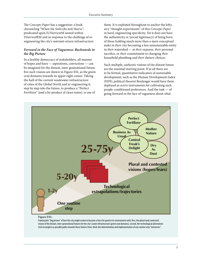The *Concepts Paper* has a suggestion: a book chronicling "When the Soils (do not) Starve", predicated upon IU*Nutrient*M nested within I*Nutrient*RM and in response to the challenge of reengineering the city's nutrient-return infrastructure.

### *Forward in the Face of Vagueness: Backwards in the Big Picture*

In a healthy democracy of stakeholders, all manner of hopes and fears — aspirations, convictions — can be imagined for the distant, inter-generational future: five such visions are shown in Figure ES1, as the green oval domains towards its upper right corner. Taking the hull of the current wastewater infrastructure of cities of the Global North and re-engineering it, step by step into the future, to produce a "Perfect Fertilizer" (and a by-product of clean water), is one of

them. It is exploited throughout to anchor the lofty, airy "thought experiments" of this *Concepts Paper* in hard, engineering specificity. Yet it does not have the authenticity or {social legitimacy} of being born of those holding much more than a mere conceptual stake in *their* city becoming a less unsustainable entity in *their* watershed — at *their* expense, *their* personal sacrifice, or *their* commitment to changing *their* household plumbing and *their* dietary choices.

Such multiple, *authentic* visions of the distant future are the essential starting point. If at all there are to be formal, quantitative indicators of sustainable development, such as the Human Development Index (HDI), political theorist Boulanger would have them deployed as *active* instruments for cultivating such people-conditioned preferences. And the task — of going forward in the face of vagueness about what





Framing the "big picture" of how the city might evolve to become a force for good in its environment with, first, the plural (and contested) visions of the distant, inter-generational futures for the city's water infrastructure (green oval domains), second, the technological alternatives (red rectangles) as possible paths towards those futures from, third, the determination and implementation of one routine step "tomorrow".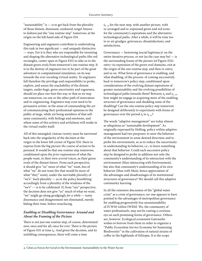"sustainability" is  $-$  is to get back from the plurality of those distant, dissonant, unshared, target futures to fashion just the "one routine step" tomorrow, at the origin on the left-hand side of Figure ES1.

Engineering and engineers contribute to undertaking this task in two significant — and uniquely distinctive — ways. For it is they who are responsible for inventing and shaping the alternative technological paths (the red rectangles, center-span in Figure ES1) to take us to the distant green ovals from tomorrow's one routine step. It is in the destiny of engineers too to be part of the great adventure in computational simulation, on its way towards the ever-receding virtual reality. To engineers fall therefore the privilege and responsibility to probe, explore, and assess the reachability of the distant targets, under huge, gross uncertainty and vagueness, should we place our foot this way or that as we step out tomorrow, on one or the other path of innovation and re-engineering. Engineers may even need to be persuasive artists: in the sense of commanding the art of communicating their professional opinions to the public at large, while yet being members of that selfsame community, with feelings and emotions, and where some of this artistry and artfulness will reside in the virtual reality itself.

All of this entangled, riotous variety must be narrowed back into the singularity of the decision at the origin in the lower left corner of Figure ES1: there to express from the big picture *the* course of action to be pursued. It would be that one routine step tomorrow, conditioned upon the *prior* expressions of what the people want, in their own *several* voices, as their green ovals of the distant future. From each perspective, it should give "us" more of what "we" want, less of what "we" do not want (for that would be more of what "they" want), under the inevitable *plurality* of "we's". Such plurality — as in the policy benefitting accordingly from a plurality of the wisdoms of the "we's" — is to be celebrated. If, from "our" perspective, the decision does not give "us" much of what we want, "we" might go along grudgingly *for a while* — noisy dissonance and disagreement not eliminated, merely biding their time, before resurfacing.

### *Enabling or Disabling Governance: Around and About the Framing of the Picture*

There is not just one routine step, of course, determined now, once and for all, once for ever. There is the picture of Figure ES1 at time  $t_k$ . And given the decision, and its unfolding consequences, there will come a time

 $t_{k+1}$  for the next step, with another picture, with re-arranged and re-expressed green and red icons for the community's aspirations and the alternative technological paths. After a while, it will be time too to re-air grudges, grievances, dissatisfactions, and satisfactions.

Governance — bestowing {social legitimacy} on the entire iterative process, or not (as the case may be)  $-$  is the surrounding frame of the picture (of Figure ES1): entry *via* expression of the green oval domains, exit at the origin of the one routine step, and then re-entry, and so on. What form of governance is enabling, and what disabling, of the process: of coming successively back to tomorrow's policy step, conditioned upon considerations of the evolving distant aspirations of greater sustainability and the evolving possibilities of technological paths towards them? Between  $t_k$  and  $t_{k+1}$ , how might we engage in acquiring more of the enabling structure of governance and shedding some of the disabling? Can the one routine policy step tomorrow be designed *deliberately* to experiment with forms of governance over the period  $t_k$  to  $t_{k+1}$ ?

The words "adaptive management" are today almost as ubiquitous as "sustainable development". As originally expressed by Holling, policy within adaptive management had two purposes: to steer the behavior of the environment in some desired direction; and to probe the environment, so as to reduce the uncertainty in understanding its behavior, i.e., to learn something about that behavior. Could each successive policy step be designed to probe in addition not only the community's understanding of its interaction with the environment (Man interacting with Environment), but also that community's understanding of its own behavior (Man with Man), hence appreciation of the advantages and disadvantages of its institutional structures of governance? We should call this adaptive community learning.

In all the extensive discussion of the "global water crisis" as a crisis of governance, no-one appears to have pointed to the advantages of metropolitan governance for enabling progressively less unsustainability of IUWM within IWRM. We, the community of water professionals, may not be casting a covetous eye on such promising forms of governance. Others are, however. Ecological economist Gatzweiler wishes to borrow from them in order to organize a "Public Ecosystem Service Economy for Sustaining Biodiversity" in the cultivation of natural strains of coffee in the highlands of Ethiopia. It is the scope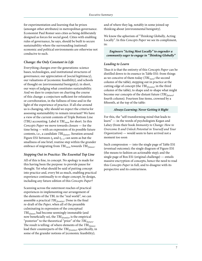for experimentation and learning that he prizes (amongst other attributes) in metropolitan governance. Economist Paul Romer sees cities as being deliberately designed as forces for social good. Cities with enabling rules of governance, he says, should be built to secure sustainability where the surrounding (national) economic and political environments are otherwise not conducive to such.

### *Change: the Only Constant in Life*

Everything changes over the generations: science bases, technologies, and institutional structures of governance; our appreciation of {social legitimacy}, our valuations of {economic feasibility}, and schools of thought on {environmental benignity}; in short, our ways of judging what constitutes sustainability. And we dare to conjecture on charting the course of this change: a conjecture sufficient for refutation or corroboration, in the fullness of time and in the light of the experience of practice. If all else around us is changing, why should we expect the criteria for assessing sustainability to remain invariant? We have a view of the current contents of Triple Bottom Line (TBL) accounting. Label it *TBLnow* for short. In this *Concepts Paper* we move towards closure — for the time being — with an expression of its possible future contents, i.e., a candidate *TBL<sub>future</sub>*. Iteration around Figure ES1 between  $t_k$  and  $t_{k+1}$  can seem as but the smallness of one brief, routine step within the grander embrace of migrating from *TBL<sub>now</sub>* towards *TBL<sub>future</sub>*.

### *Stepping Out in Practice: The Essential Top Line*

All of this is fine, in concept. No apology is made for this having been the purpose: to provide pause for thought. Yet what should be said of putting concept into practice and, every bit as much, enabling practical experience continually to re-shape concept, by design, including any future edition of this *Concepts Paper*?

Scanning across the outermost reaches of practical experiences in implementing our arrangement of the elements of the TBL in the "real world", we can assemble a practical *TBLfrontier*. Done in the final re-draft of the *Paper*, when all of the preamble culminating in expression of the conceptual *TBLfuture* had become seemingly immutable (and now beneficially so), the *TBLfrontier* is the empirical "posterior" to the theoretical "prior" of the *TBLfuture*. The result is telling: of where elements of the *TBL*<sub>future</sub> lead their counterparts of the *TBLfrontier*, specifically, in some of the grander notions of {economic feasibility};

and of where they lag, notably in some joined-up thinking about {environmental benignity}.

We know the aphorism of "Thinking Globally, Acting Locally". In this *Concepts Paper* we see its compliment, in:

*Engineers "Acting Most Locally" to engender a community eager to engage in "Thinking Globally"*

### *Leading to Learn*

Thus it is that the entirety of this *Concepts Paper* can be distilled down to its essence in Table ES1: from things as we conceive of them today (*TBL<sub>now</sub>*; the second column of the table), stepping out in practice at the cutting edge of concept (the *TBLfrontier* in the third column of the table), to shape and re-shape what might become our concepts of the distant future (*TBLfuture*; fourth column). Fourteen line items, crowned by a fifteenth, at the top of the table:

### *Always Learning; Never Getting it Right*

For this, the "self-transforming mind that leads to learn" — in the words of psychologists Kegan and Lahey (from their book *Immunity to Change: How to Overcome It and Unlock Potential in Yourself and Your Organization*) — would seem to have arrived not a moment too soon

Such compression — into the single page of Table ES1 (eventual outcome); the single diagram of Figure ES1 (the means to fashion an actionable step); and the single page of Box ES1 (original challenge) — entails massive encryption of concepts, hence the need to read this *Concepts Paper* in full, and to disagree with its perspective and its contrariness.